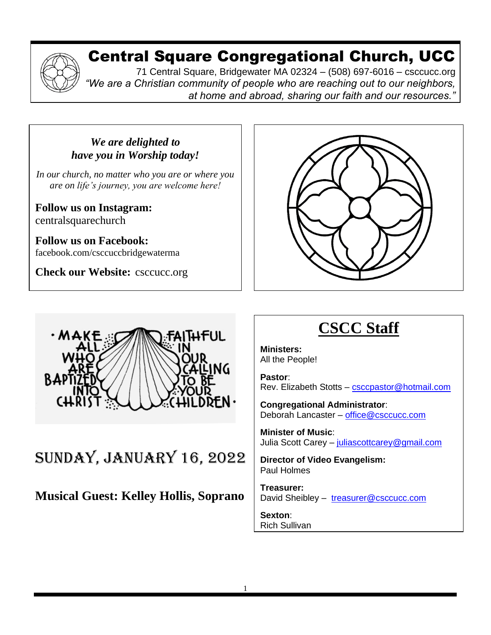## Central Square Congregational Church, UCC

71 Central Square, Bridgewater MA 02324 – (508) 697-6016 – csccucc.org *"We are a Christian community of people who are reaching out to our neighbors, at home and abroad, sharing our faith and our resources."*

#### *We are delighted to have you in Worship today!*

*In our church, no matter who you are or where you are on life's journey, you are welcome here!*

**Follow us on Instagram:** centralsquarechurch

**Follow us on Facebook:** facebook.com/csccuccbridgewaterma

**Check our Website:** csccucc.org





#### SUNDAY, JANUARY 16, 2022 d<u>m i , jainumit i</u>

**Musical Guest: Kelley Hollis, Soprano**  $\ddot{\mathbf{v}}$  in your same

And we do not make connections between

# **CSCC Staff**

**Ministers:** All the People!

**Pastor**: Rev. Elizabeth Stotts – [csccpastor@hotmail.com](about:blank)

**Congregational Administrator**: Deborah Lancaster – [office@csccucc.com](about:blank)

**Minister of Music**: Julia Scott Carey – [juliascottcarey@gmail.com](about:blank)

**Director of Video Evangelism:** Paul Holmes

**Treasurer:**  David Sheibley - [treasurer@csccucc.com](about:blank)

**Sexton**: Rich Sullivan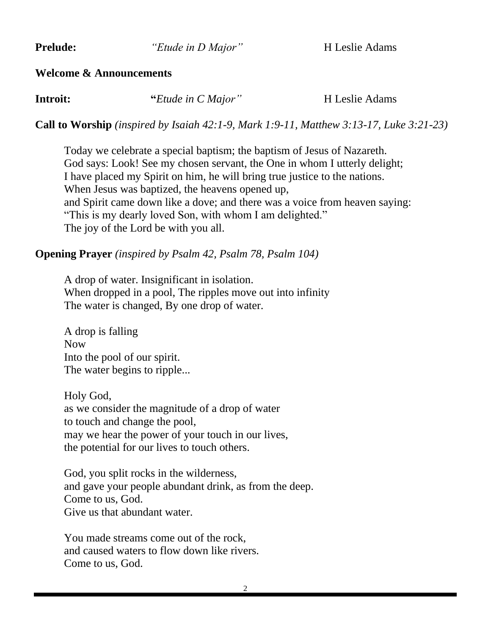**Prelude:** *"Etude in D Major"* H Leslie Adams

#### **Welcome & Announcements**

| Introit: | "Etude in C Major" | H Leslie Adams |
|----------|--------------------|----------------|
|----------|--------------------|----------------|

**Call to Worship** *(inspired by Isaiah 42:1-9, Mark 1:9-11, Matthew 3:13-17, Luke 3:21-23)*

Today we celebrate a special baptism; the baptism of Jesus of Nazareth. God says: Look! See my chosen servant, the One in whom I utterly delight; I have placed my Spirit on him, he will bring true justice to the nations. When Jesus was baptized, the heavens opened up, and Spirit came down like a dove; and there was a voice from heaven saying: "This is my dearly loved Son, with whom I am delighted." The joy of the Lord be with you all.

#### **Opening Prayer** *(inspired by Psalm 42, Psalm 78, Psalm 104)*

A drop of water. Insignificant in isolation. When dropped in a pool, The ripples move out into infinity The water is changed, By one drop of water.

A drop is falling Now Into the pool of our spirit. The water begins to ripple...

Holy God, as we consider the magnitude of a drop of water to touch and change the pool, may we hear the power of your touch in our lives, the potential for our lives to touch others.

God, you split rocks in the wilderness, and gave your people abundant drink, as from the deep. Come to us, God. Give us that abundant water.

You made streams come out of the rock, and caused waters to flow down like rivers. Come to us, God.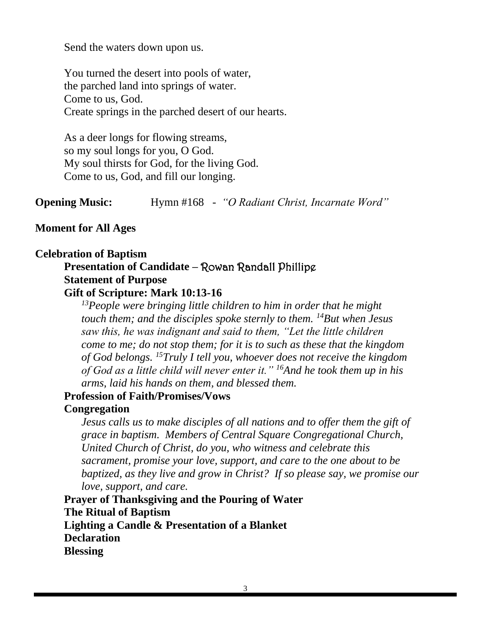Send the waters down upon us.

You turned the desert into pools of water, the parched land into springs of water. Come to us, God. Create springs in the parched desert of our hearts.

As a deer longs for flowing streams, so my soul longs for you, O God. My soul thirsts for God, for the living God. Come to us, God, and fill our longing.

**Opening Music:** Hymn #168 *- "O Radiant Christ, Incarnate Word"*

#### **Moment for All Ages**

#### **Celebration of Baptism**

## **Presentation of Candidate –** Rowan Randall Phillipe **Statement of Purpose**

**Gift of Scripture: Mark 10:13-16**

*<sup>13</sup>People were bringing little children to him in order that he might touch them; and the disciples spoke sternly to them. <sup>14</sup>But when Jesus saw this, he was indignant and said to them, "Let the little children come to me; do not stop them; for it is to such as these that the kingdom of God belongs. <sup>15</sup>Truly I tell you, whoever does not receive the kingdom of God as a little child will never enter it." <sup>16</sup>And he took them up in his arms, laid his hands on them, and blessed them.*

## **Profession of Faith/Promises/Vows**

#### **Congregation**

*Jesus calls us to make disciples of all nations and to offer them the gift of grace in baptism. Members of Central Square Congregational Church, United Church of Christ, do you, who witness and celebrate this sacrament, promise your love, support, and care to the one about to be baptized, as they live and grow in Christ? If so please say, we promise our love, support, and care.*

**Prayer of Thanksgiving and the Pouring of Water The Ritual of Baptism Lighting a Candle & Presentation of a Blanket Declaration Blessing**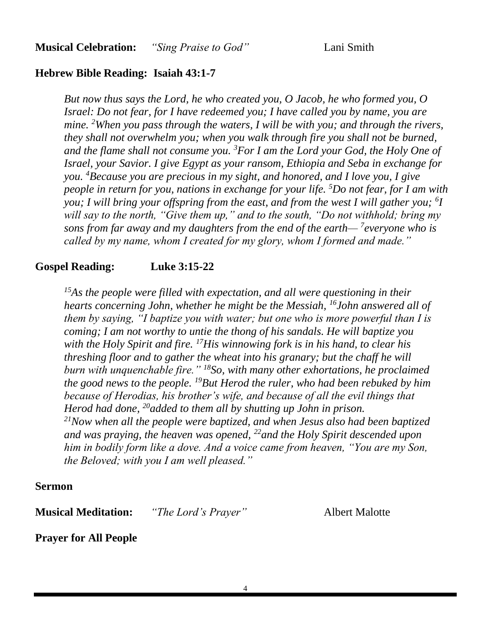#### **Hebrew Bible Reading: Isaiah 43:1-7**

*But now thus says the Lord, he who created you, O Jacob, he who formed you, O Israel: Do not fear, for I have redeemed you; I have called you by name, you are mine. <sup>2</sup>When you pass through the waters, I will be with you; and through the rivers, they shall not overwhelm you; when you walk through fire you shall not be burned, and the flame shall not consume you. <sup>3</sup>For I am the Lord your God, the Holy One of Israel, your Savior. I give Egypt as your ransom, Ethiopia and Seba in exchange for you. <sup>4</sup>Because you are precious in my sight, and honored, and I love you, I give people in return for you, nations in exchange for your life. <sup>5</sup>Do not fear, for I am with you; I will bring your offspring from the east, and from the west I will gather you; <sup>6</sup> I will say to the north, "Give them up," and to the south, "Do not withhold; bring my sons from far away and my daughters from the end of the earth— <sup>7</sup> everyone who is called by my name, whom I created for my glory, whom I formed and made."*

#### **Gospel Reading: Luke 3:15-22**

*<sup>15</sup>As the people were filled with expectation, and all were questioning in their hearts concerning John, whether he might be the Messiah, <sup>16</sup>John answered all of them by saying, "I baptize you with water; but one who is more powerful than I is coming; I am not worthy to untie the thong of his sandals. He will baptize you with the Holy Spirit and fire. <sup>17</sup>His winnowing fork is in his hand, to clear his threshing floor and to gather the wheat into his granary; but the chaff he will burn with unquenchable fire." <sup>18</sup>So, with many other exhortations, he proclaimed the good news to the people. <sup>19</sup>But Herod the ruler, who had been rebuked by him because of Herodias, his brother's wife, and because of all the evil things that Herod had done, <sup>20</sup>added to them all by shutting up John in prison. <sup>21</sup>Now when all the people were baptized, and when Jesus also had been baptized and was praying, the heaven was opened, <sup>22</sup>and the Holy Spirit descended upon him in bodily form like a dove. And a voice came from heaven, "You are my Son, the Beloved; with you I am well pleased."*

#### **Sermon**

**Musical Meditation:** *"The Lord's Prayer"* Albert Malotte

**Prayer for All People**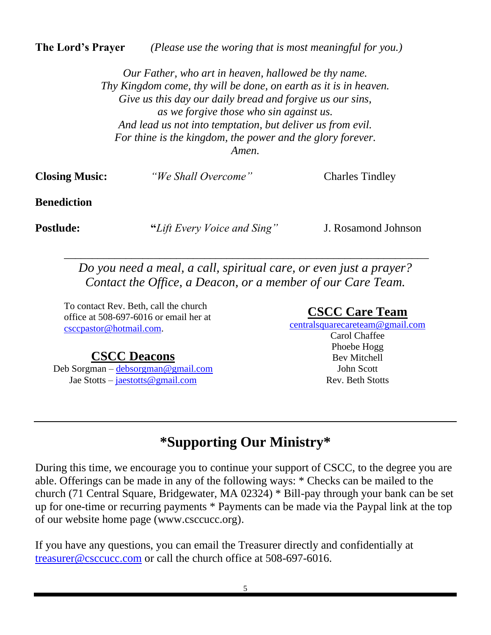**The Lord's Prayer** *(Please use the woring that is most meaningful for you.)*

*Our Father, who art in heaven, hallowed be thy name. Thy Kingdom come, thy will be done, on earth as it is in heaven. Give us this day our daily bread and forgive us our sins, as we forgive those who sin against us. And lead us not into temptation, but deliver us from evil. For thine is the kingdom, the power and the glory forever. Amen.*

| <b>Closing Music:</b> | "We Shall Overcome" | <b>Charles Tindley</b> |
|-----------------------|---------------------|------------------------|
| <b>Benediction</b>    |                     |                        |

**Postlude:** "*Lift Every Voice and Sing*" J. Rosamond Johnson

*Do you need a meal, a call, spiritual care, or even just a prayer? Contact the Office, a Deacon, or a member of our Care Team.*

\_\_\_\_\_\_\_\_\_\_\_\_\_\_\_\_\_\_\_\_\_\_\_\_\_\_\_\_\_\_\_\_\_\_\_\_\_\_\_\_\_\_\_\_\_\_\_\_\_\_\_\_\_\_\_\_\_\_\_\_\_\_\_\_\_

To contact Rev. Beth, call the church office at 508-697-6016 or email her at [csccpastor@hotmail.com.](mailto:csccpastor@hotmail.com)

### **CSCC Deacons**

Deb Sorgman – [debsorgman@gmail.com](mailto:debsorgman@gmail.com) Jae Stotts – [jaestotts@gmail.com](mailto:jaestotts@gmail.com)

#### **CSCC Care Team**

[centralsquarecareteam@gmail.com](mailto:CentralSquareCareTeam@gmail.com)

Carol Chaffee Phoebe Hogg Bev Mitchell John Scott Rev. Beth Stotts

## **\*Supporting Our Ministry\***

During this time, we encourage you to continue your support of CSCC, to the degree you are able. Offerings can be made in any of the following ways: \* Checks can be mailed to the church (71 Central Square, Bridgewater, MA 02324) \* Bill-pay through your bank can be set up for one-time or recurring payments \* Payments can be made via the Paypal link at the top of our website home page (www.csccucc.org).

If you have any questions, you can email the Treasurer directly and confidentially at [treasurer@csccucc.com](mailto:treasurer@csccucc.com) or call the church office at 508-697-6016.